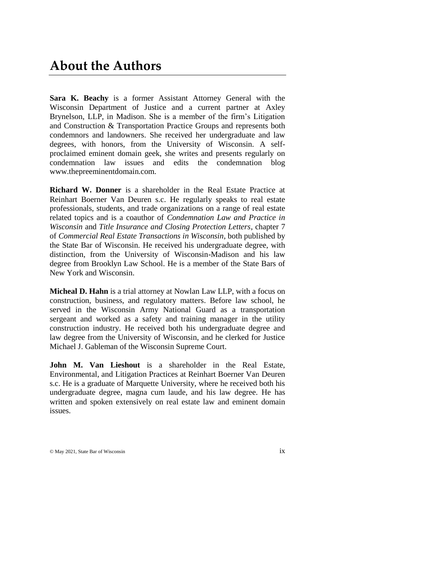## **About the Authors**

**Sara K. Beachy** is a former Assistant Attorney General with the Wisconsin Department of Justice and a current partner at Axley Brynelson, LLP, in Madison. She is a member of the firm's Litigation and Construction & Transportation Practice Groups and represents both condemnors and landowners. She received her undergraduate and law degrees, with honors, from the University of Wisconsin. A selfproclaimed eminent domain geek, she writes and presents regularly on condemnation law issues and edits the condemnation blog www.thepreeminentdomain.com.

**Richard W. Donner** is a shareholder in the Real Estate Practice at Reinhart Boerner Van Deuren s.c. He regularly speaks to real estate professionals, students, and trade organizations on a range of real estate related topics and is a coauthor of *Condemnation Law and Practice in Wisconsin* and *Title Insurance and Closing Protection Letters*, chapter 7 of *Commercial Real Estate Transactions in Wisconsin*, both published by the State Bar of Wisconsin. He received his undergraduate degree, with distinction, from the University of Wisconsin-Madison and his law degree from Brooklyn Law School. He is a member of the State Bars of New York and Wisconsin.

**Micheal D. Hahn** is a trial attorney at Nowlan Law LLP, with a focus on construction, business, and regulatory matters. Before law school, he served in the Wisconsin Army National Guard as a transportation sergeant and worked as a safety and training manager in the utility construction industry. He received both his undergraduate degree and law degree from the University of Wisconsin, and he clerked for Justice Michael J. Gableman of the Wisconsin Supreme Court.

**John M. Van Lieshout** is a shareholder in the Real Estate, Environmental, and Litigation Practices at Reinhart Boerner Van Deuren s.c. He is a graduate of Marquette University, where he received both his undergraduate degree, magna cum laude, and his law degree. He has written and spoken extensively on real estate law and eminent domain issues.

© May 2021, State Bar of Wisconsin ix